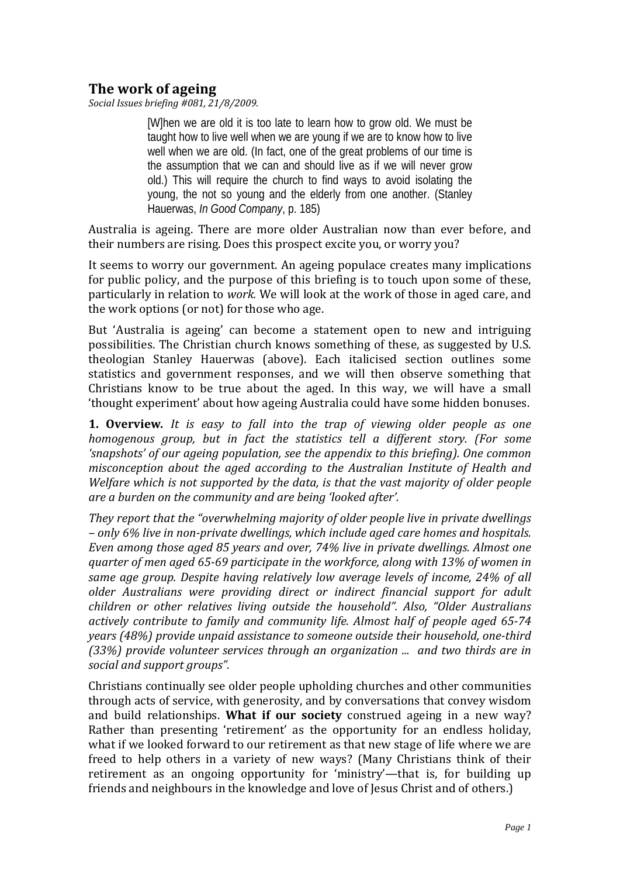## **The work of ageing**

*Social Issues briefing #081, 21/8/2009.*

[W]hen we are old it is too late to learn how to grow old. We must be taught how to live well when we are young if we are to know how to live well when we are old. (In fact, one of the great problems of our time is the assumption that we can and should live as if we will never grow old.) This will require the church to find ways to avoid isolating the young, the not so young and the elderly from one another. (Stanley Hauerwas, *In Good Company*, p. 185)

Australia is ageing. There are more older Australian now than ever before, and their numbers are rising. Does this prospect excite you, or worry you?

It seems to worry our government. An ageing populace creates many implications for public policy, and the purpose of this briefing is to touch upon some of these, particularly in relation to *work.* We will look at the work of those in aged care, and the work options (or not) for those who age.

But 'Australia is ageing' can become a statement open to new and intriguing possibilities. The Christian church knows something of these, as suggested by U.S. theologian Stanley Hauerwas (above). Each italicised section outlines some statistics and government responses, and we will then observe something that Christians know to be true about the aged. In this way, we will have a small 'thought experiment' about how ageing Australia could have some hidden bonuses.

**1. Overview***. It is easy to fall into the trap of viewing older people as one homogenous group, but in fact the statistics tell a different story. (For some 'snapshots' of our ageing population, see the appendix to this briefing). One common misconception about the aged according to the Australian Institute of Health and Welfare which is not supported by the data, is that the vast majority of older people are a burden on the community and are being 'looked after'.* 

*They report that the "overwhelming majority of older people live in private dwellings – only 6% live in nonprivate dwellings, which include aged care homes and hospitals. Even among those aged 85 years and over, 74% live in private dwellings. Almost one quarter of men aged 6569 participate in the workforce, along with 13% of women in same age group. Despite having relatively low average levels of income, 24% of all older Australians were providing direct or indirect financial support for adult children or other relatives living outside the household". Also, "Older Australians actively contribute to family and community life. Almost half of people aged 6574 years (48%) provide unpaid assistance to someone outside their household, onethird (33%) provide volunteer services through an organization ... and two thirds are in social and support groups".* 

Christians continually see older people upholding churches and other communities through acts of service, with generosity, and by conversations that convey wisdom and build relationships. **What if our society** construed ageing in a new way? Rather than presenting 'retirement' as the opportunity for an endless holiday, what if we looked forward to our retirement as that new stage of life where we are freed to help others in a variety of new ways? (Many Christians think of their retirement as an ongoing opportunity for 'ministry'—that is, for building up friends and neighbours in the knowledge and love of Jesus Christ and of others.)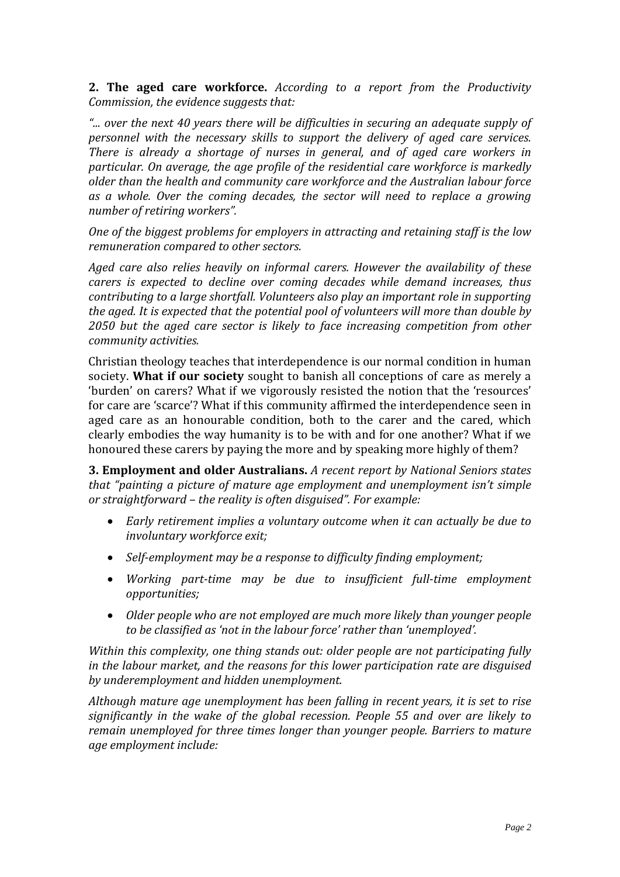**2. The aged care workforce.** *According to a report from the Productivity Commission, the evidence suggests that:*

*"... over the next 40 years there will be difficulties in securing an adequate supply of personnel with the necessary skills to support the delivery of aged care services. There is already a shortage of nurses in general, and of aged care workers in particular. On average, the age profile of the residential care workforce is markedly older than the health and community care workforce and the Australian labour force as a whole. Over the coming decades, the sector will need to replace a growing number of retiring workers".* 

*One of the biggest problems for employers in attracting and retaining staff is the low remuneration compared to other sectors.*

*Aged care also relies heavily on informal carers. However the availability of these carers is expected to decline over coming decades while demand increases, thus contributing to a large shortfall. Volunteers also play an important role in supporting the aged. It is expected that the potential pool of volunteers will more than double by 2050 but the aged care sector is likely to face increasing competition from other community activities.*

Christian theology teaches that interdependence is our normal condition in human society. **What if our society** sought to banish all conceptions of care as merely a 'burden' on carers? What if we vigorously resisted the notion that the 'resources' for care are 'scarce'? What if this community affirmed the interdependence seen in aged care as an honourable condition, both to the carer and the cared, which clearly embodies the way humanity is to be with and for one another? What if we honoured these carers by paying the more and by speaking more highly of them?

**3. Employment and older Australians.** *A recent report by National Seniors states that "painting a picture of mature age employment and unemployment isn't simple or straightforward – the reality is often disguised". For example:*

- *Early retirement implies a voluntary outcome when it can actually be due to involuntary workforce exit;*
- *Selfemployment may be a response to difficulty finding employment;*
- *Working parttime may be due to insufficient fulltime employment opportunities;*
- *Older people who are not employed are much more likely than younger people to be classified as 'not in the labour force' rather than 'unemployed'.*

*Within this complexity, one thing stands out: older people are not participating fully in the labour market, and the reasons for this lower participation rate are disguised by underemployment and hidden unemployment.*

*Although mature age unemployment has been falling in recent years, it is set to rise significantly in the wake of the global recession. People 55 and over are likely to remain unemployed for three times longer than younger people. Barriers to mature age employment include:*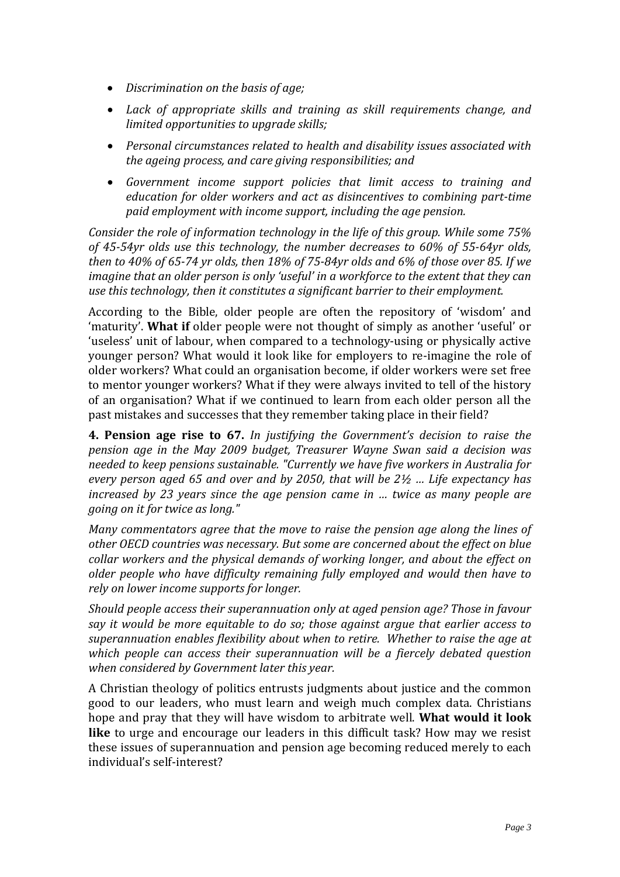- *Discrimination on the basis of age;*
- *Lack of appropriate skills and training as skill requirements change, and limited opportunities to upgrade skills;*
- *Personal circumstances related to health and disability issues associated with the ageing process, and care giving responsibilities; and*
- *Government income support policies that limit access to training and education for older workers and act as disincentives to combining parttime paid employment with income support, including the age pension.*

*Consider the role of information technology in the life of this group. While some 75% of 4554yr olds use this technology, the number decreases to 60% of 5564yr olds,* then to 40% of 65-74 yr olds, then 18% of 75-84yr olds and 6% of those over 85. If we *imagine that an older person is only 'useful' in a workforce to the extent that they can use this technology, then it constitutes a significant barrier to their employment.*

According to the Bible, older people are often the repository of 'wisdom' and 'maturity'. **What if** older people were not thought of simply as another 'useful' or 'useless' unit of labour, when compared to a technology‐using or physically active younger person? What would it look like for employers to re‐imagine the role of older workers? What could an organisation become, if older workers were set free to mentor younger workers? What if they were always invited to tell of the history of an organisation? What if we continued to learn from each older person all the past mistakes and successes that they remember taking place in their field?

**4. Pension age rise to 67.** *In justifying the Government's decision to raise the pension age in the May 2009 budget, Treasurer Wayne Swan said a decision was needed to keep pensions sustainable. "Currently we have five workers in Australia for every person aged 65 and over and by 2050, that will be 2½ … Life expectancy has increased by 23 years since the age pension came in … twice as many people are going on it for twice as long."*

*Many commentators agree that the move to raise the pension age along the lines of other OECD countries was necessary. But some are concerned about the effect on blue collar workers and the physical demands of working longer, and about the effect on older people who have difficulty remaining fully employed and would then have to rely on lower income supports for longer.*

*Should people access their superannuation only at aged pension age? Those in favour say it would be more equitable to do so; those against argue that earlier access to superannuation enables flexibility about when to retire. Whether to raise the age at which people can access their superannuation will be a fiercely debated question when considered by Government later this year.*

A Christian theology of politics entrusts judgments about justice and the common good to our leaders, who must learn and weigh much complex data. Christians hope and pray that they will have wisdom to arbitrate well. **What would it look** like to urge and encourage our leaders in this difficult task? How may we resist these issues of superannuation and pension age becoming reduced merely to each individual's self‐interest?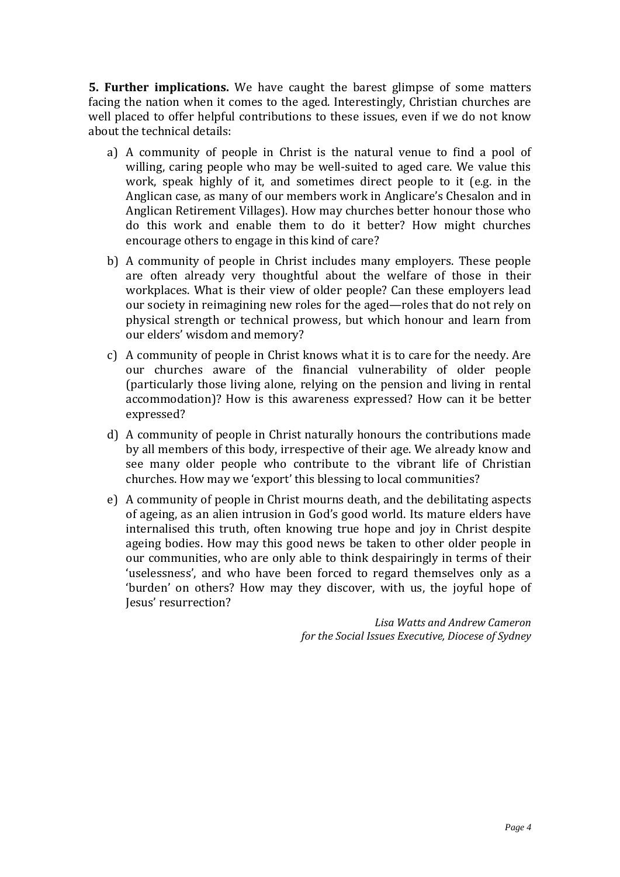**5. Further implications.** We have caught the barest glimpse of some matters facing the nation when it comes to the aged. Interestingly, Christian churches are well placed to offer helpful contributions to these issues, even if we do not know about the technical details:

- a) A community of people in Christ is the natural venue to find a pool of willing, caring people who may be well-suited to aged care. We value this work, speak highly of it, and sometimes direct people to it (e.g. in the Anglican case, as many of our members work in Anglicare's Chesalon and in Anglican Retirement Villages). How may churches better honour those who do this work and enable them to do it better? How might churches encourage others to engage in this kind of care?
- b) A community of people in Christ includes many employers. These people are often already very thoughtful about the welfare of those in their workplaces. What is their view of older people? Can these employers lead our society in reimagining new roles for the aged—roles that do not rely on physical strength or technical prowess, but which honour and learn from our elders' wisdom and memory?
- c) A community of people in Christ knows what it is to care for the needy. Are our churches aware of the financial vulnerability of older people (particularly those living alone, relying on the pension and living in rental accommodation)? How is this awareness expressed? How can it be better expressed?
- d) A community of people in Christ naturally honours the contributions made by all members of this body, irrespective of their age. We already know and see many older people who contribute to the vibrant life of Christian churches. How may we 'export' this blessing to local communities?
- e) A community of people in Christ mourns death, and the debilitating aspects of ageing, as an alien intrusion in God's good world. Its mature elders have internalised this truth, often knowing true hope and joy in Christ despite ageing bodies. How may this good news be taken to other older people in our communities, who are only able to think despairingly in terms of their 'uselessness', and who have been forced to regard themselves only as a 'burden' on others? How may they discover, with us, the joyful hope of Jesus' resurrection?

*Lisa Watts and Andrew Cameron for the Social Issues Executive, Diocese of Sydney*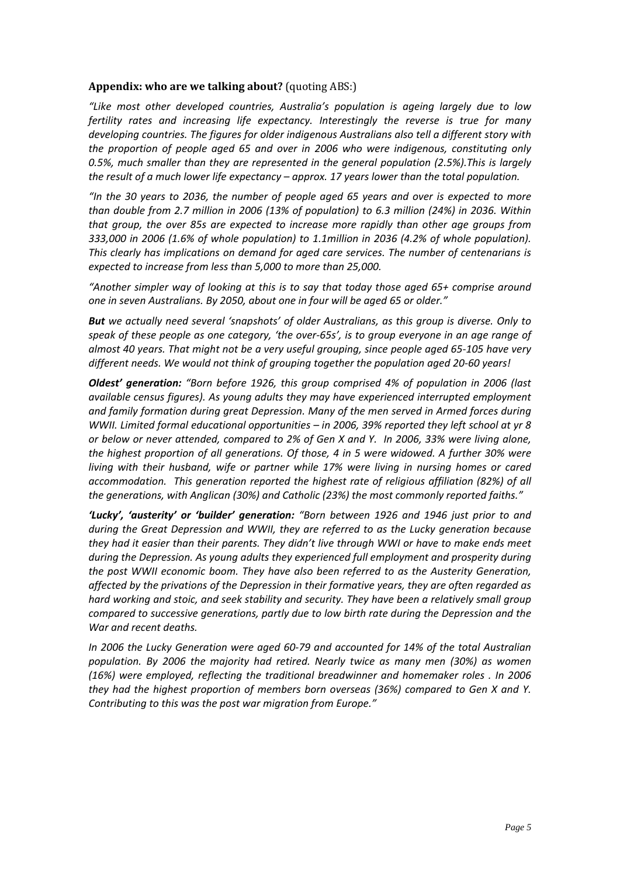## **Appendix: who are we talking about?** (quoting ABS:)

*"Like most other developed countries, Australia's population is ageing largely due to low fertility rates and increasing life expectancy. Interestingly the reverse is true for many developing countries. The figures for older indigenous Australians also tell a different story with the proportion of people aged 65 and over in 2006 who were indigenous, constituting only 0.5%, much smaller than they are represented in the general population (2.5%).This is largely the result of a much lower life expectancy – approx. 17 years lower than the total population.*

*"In the 30 years to 2036, the number of people aged 65 years and over is expected to more than double from 2.7 million in 2006 (13% of population) to 6.3 million (24%) in 2036. Within that group, the over 85s are expected to increase more rapidly than other age groups from 333,000 in 2006 (1.6% of whole population) to 1.1million in 2036 (4.2% of whole population). This clearly has implications on demand for aged care services. The number of centenarians is expected to increase from less than 5,000 to more than 25,000.*

*"Another simpler way of looking at this is to say that today those aged 65+ comprise around one in seven Australians. By 2050, about one in four will be aged 65 or older."*

*But we actually need several 'snapshots' of older Australians, as this group is diverse. Only to* speak of these people as one category, 'the over-65s', is to group everyone in an age range of almost 40 years. That might not be a very useful grouping, since people aged 65-105 have very *different needs. We would not think of grouping together the population aged 20‐60 years!* 

*Oldest' generation: "Born before 1926, this group comprised 4% of population in 2006 (last available census figures). As young adults they may have experienced interrupted employment and family formation during great Depression. Many of the men served in Armed forces during WWII. Limited formal educational opportunities – in 2006, 39% reported they left school at yr 8* or below or never attended, compared to 2% of Gen X and Y. In 2006, 33% were living alone, *the highest proportion of all generations. Of those, 4 in 5 were widowed. A further 30% were living with their husband, wife or partner while 17% were living in nursing homes or cared accommodation. This generation reported the highest rate of religious affiliation (82%) of all the generations, with Anglican (30%) and Catholic (23%) the most commonly reported faiths."*

*'Lucky', 'austerity' or 'builder' generation: "Born between 1926 and 1946 just prior to and during the Great Depression and WWII, they are referred to as the Lucky generation because they had it easier than their parents. They didn't live through WWI or have to make ends meet during the Depression. As young adults they experienced full employment and prosperity during the post WWII economic boom. They have also been referred to as the Austerity Generation, affected by the privations of the Depression in their formative years, they are often regarded as hard working and stoic, and seek stability and security. They have been a relatively small group compared to successive generations, partly due to low birth rate during the Depression and the War and recent deaths.*

*In 2006 the Lucky Generation were aged 60‐79 and accounted for 14% of the total Australian population. By 2006 the majority had retired. Nearly twice as many men (30%) as women (16%) were employed, reflecting the traditional breadwinner and homemaker roles . In 2006 they had the highest proportion of members born overseas (36%) compared to Gen X and Y. Contributing to this was the post war migration from Europe."*